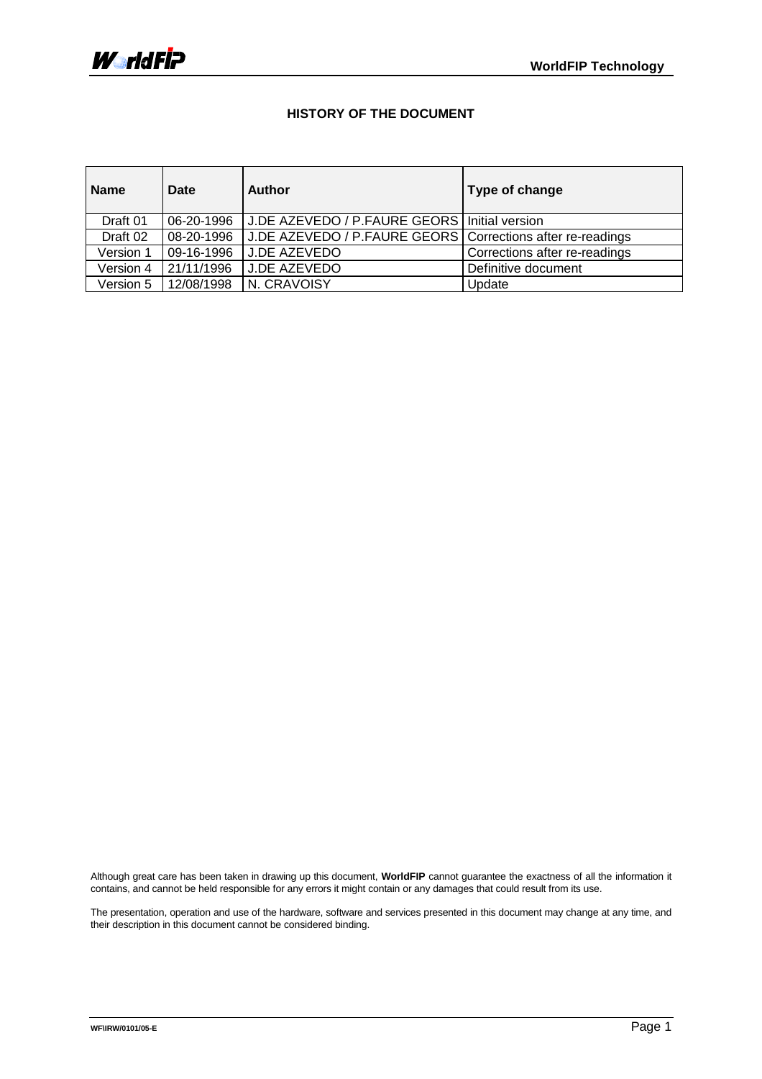#### **HISTORY OF THE DOCUMENT**

| <b>Name</b> | <b>Date</b> | <b>Author</b>                                                | Type of change                |
|-------------|-------------|--------------------------------------------------------------|-------------------------------|
| Draft 01    | 06-20-1996  | J.DE AZEVEDO / P.FAURE GEORS   Initial version               |                               |
| Draft 02    | 08-20-1996  | J.DE AZEVEDO / P.FAURE GEORS   Corrections after re-readings |                               |
| Version 1   | 09-16-1996  | J.DE AZEVEDO                                                 | Corrections after re-readings |
| Version 4   | 21/11/1996  | J.DE AZEVEDO                                                 | Definitive document           |
| Version 5   | 12/08/1998  | N. CRAVOISY                                                  | Update                        |

Although great care has been taken in drawing up this document, **WorldFIP** cannot guarantee the exactness of all the information it contains, and cannot be held responsible for any errors it might contain or any damages that could result from its use.

The presentation, operation and use of the hardware, software and services presented in this document may change at any time, and their description in this document cannot be considered binding.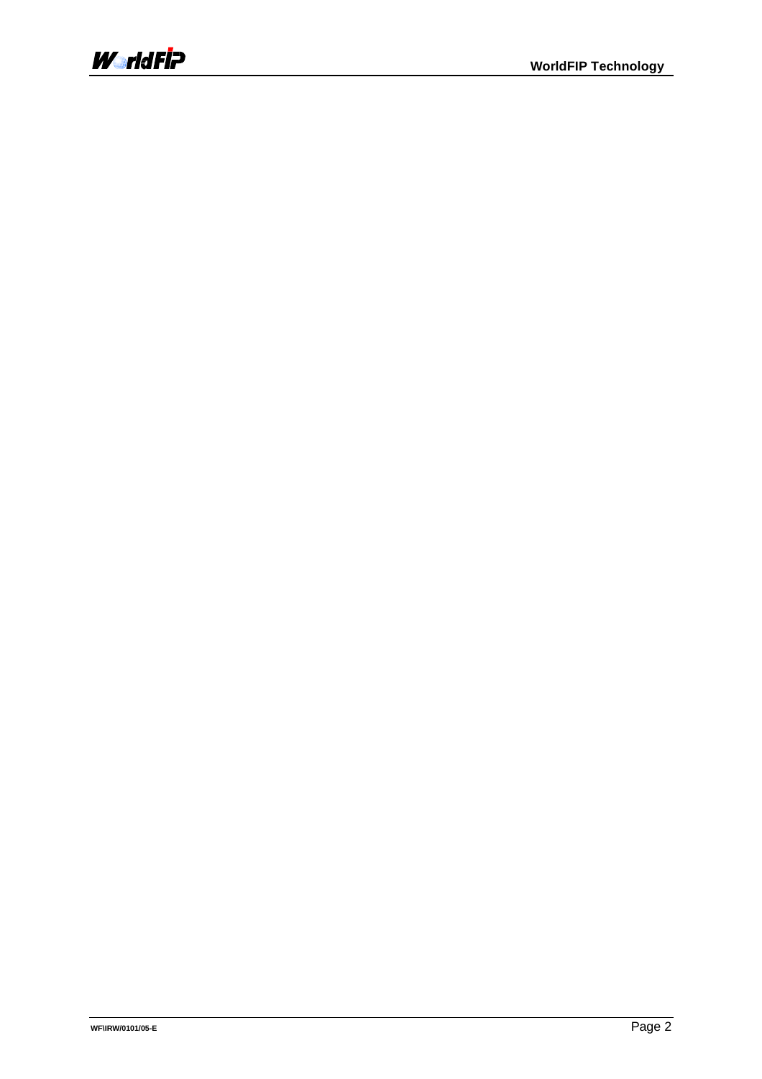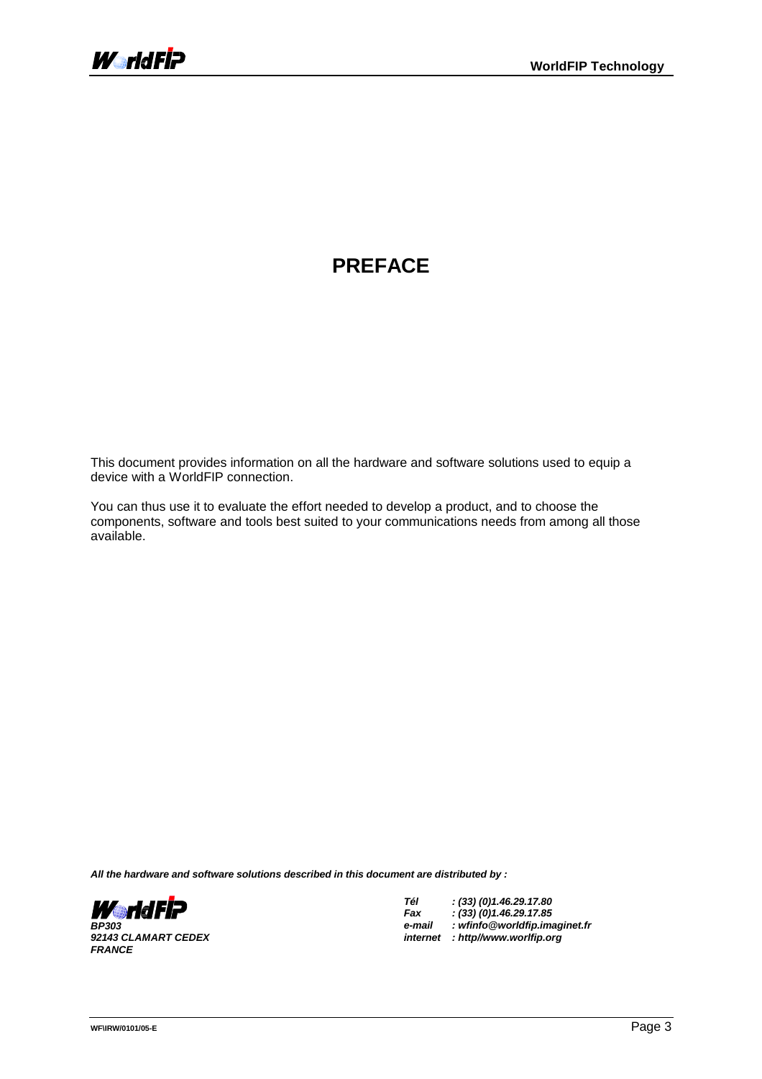# **PREFACE**

This document provides information on all the hardware and software solutions used to equip a device with a WorldFIP connection.

You can thus use it to evaluate the effort needed to develop a product, and to choose the components, software and tools best suited to your communications needs from among all those available.

*All the hardware and software solutions described in this document are distributed by :*



*92143 CLAMART CEDEX FRANCE*

*Tél : (33) (0)1.46.29.17.80 Fax : (33) (0)1.46.29.17.85 e-mail : wfinfo@worldfip.imaginet.fr internet : http//www.worlfip.org*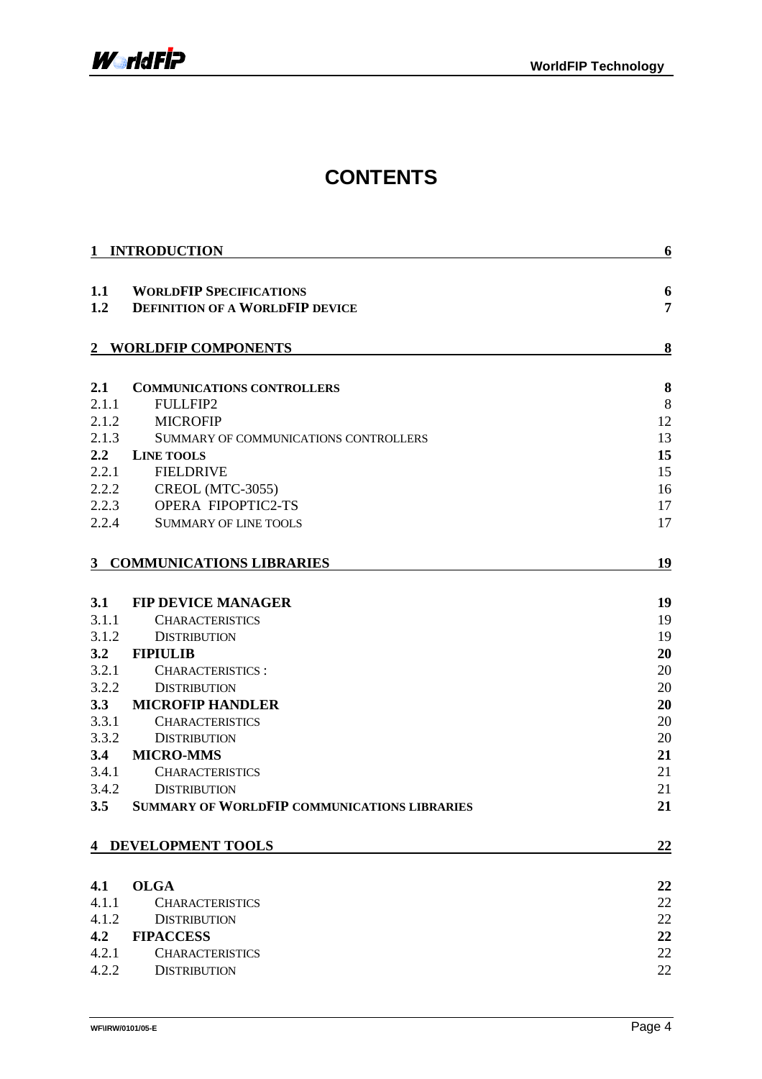

# **CONTENTS**

| 1            | <b>INTRODUCTION</b>                                 | $6\phantom{1}6$     |
|--------------|-----------------------------------------------------|---------------------|
|              |                                                     |                     |
| 1.1          | <b>WORLDFIP SPECIFICATIONS</b>                      | 6<br>$\overline{7}$ |
| 1.2          | <b>DEFINITION OF A WORLDFIP DEVICE</b>              |                     |
|              | 2 WORLDFIP COMPONENTS                               | $\boldsymbol{8}$    |
| 2.1          | <b>COMMUNICATIONS CONTROLLERS</b>                   | 8                   |
| 2.1.1        | FULLFIP2                                            | 8                   |
| 2.1.2        | <b>MICROFIP</b>                                     | 12                  |
| 2.1.3        | SUMMARY OF COMMUNICATIONS CONTROLLERS               | 13                  |
| 2.2          | <b>LINE TOOLS</b>                                   | 15                  |
| 2.2.1        | <b>FIELDRIVE</b>                                    | 15                  |
| 2.2.2        | <b>CREOL</b> (MTC-3055)                             | 16                  |
| 2.2.3        | <b>OPERA FIPOPTIC2-TS</b>                           | 17                  |
| 2.2.4        | <b>SUMMARY OF LINE TOOLS</b>                        | 17                  |
|              | 3 COMMUNICATIONS LIBRARIES                          | 19                  |
| 3.1          | <b>FIP DEVICE MANAGER</b>                           | 19                  |
| 3.1.1        | <b>CHARACTERISTICS</b>                              | 19                  |
| 3.1.2        | <b>DISTRIBUTION</b>                                 | 19                  |
| 3.2          | <b>FIPIULIB</b>                                     | 20                  |
| 3.2.1        | <b>CHARACTERISTICS:</b>                             | 20                  |
| 3.2.2        | <b>DISTRIBUTION</b>                                 | 20                  |
| 3.3          | <b>MICROFIP HANDLER</b>                             | 20                  |
| 3.3.1        | <b>CHARACTERISTICS</b>                              | 20                  |
| 3.3.2        | <b>DISTRIBUTION</b>                                 | 20                  |
| 3.4          | <b>MICRO-MMS</b>                                    | 21                  |
| 3.4.1        | <b>CHARACTERISTICS</b>                              | 21                  |
| 3.4.2        | <b>DISTRIBUTION</b>                                 | 21                  |
| 3.5          | <b>SUMMARY OF WORLDFIP COMMUNICATIONS LIBRARIES</b> | 21                  |
|              | <b>4 DEVELOPMENT TOOLS</b>                          | <u>22</u>           |
|              |                                                     |                     |
| 4.1          | <b>OLGA</b>                                         | 22                  |
| 4.1.1        | <b>CHARACTERISTICS</b>                              | 22                  |
| 4.1.2        | <b>DISTRIBUTION</b>                                 | 22                  |
| 4.2<br>4.2.1 | <b>FIPACCESS</b>                                    | 22                  |
| 4.2.2        | <b>CHARACTERISTICS</b>                              | 22<br>22            |
|              | <b>DISTRIBUTION</b>                                 |                     |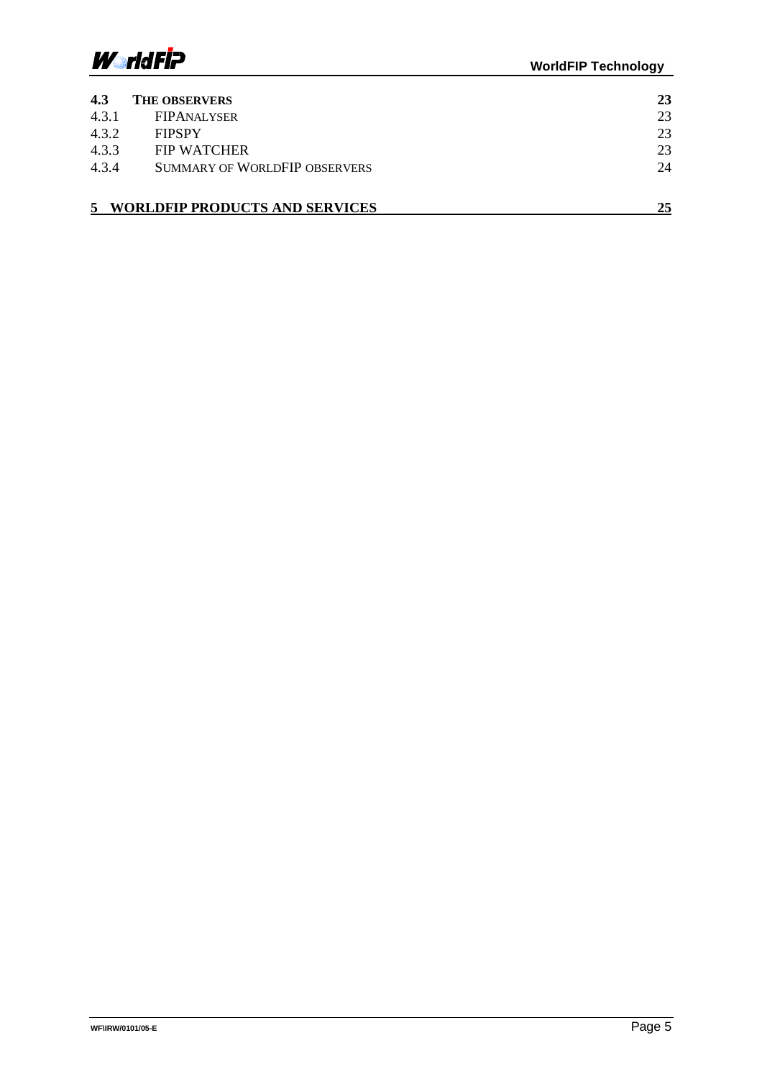

| 4.3   | <b>THE OBSERVERS</b>             | 23 |
|-------|----------------------------------|----|
| 4.3.1 | <b>FIPANALYSER</b>               | 23 |
| 4.3.2 | <b>FIPSPY</b>                    | 23 |
| 4.3.3 | <b>FIP WATCHER</b>               | 23 |
| 4.3.4 | SUMMARY OF WORLDFIP OBSERVERS    | 24 |
|       | 5 WORLDFIP PRODUCTS AND SERVICES | 25 |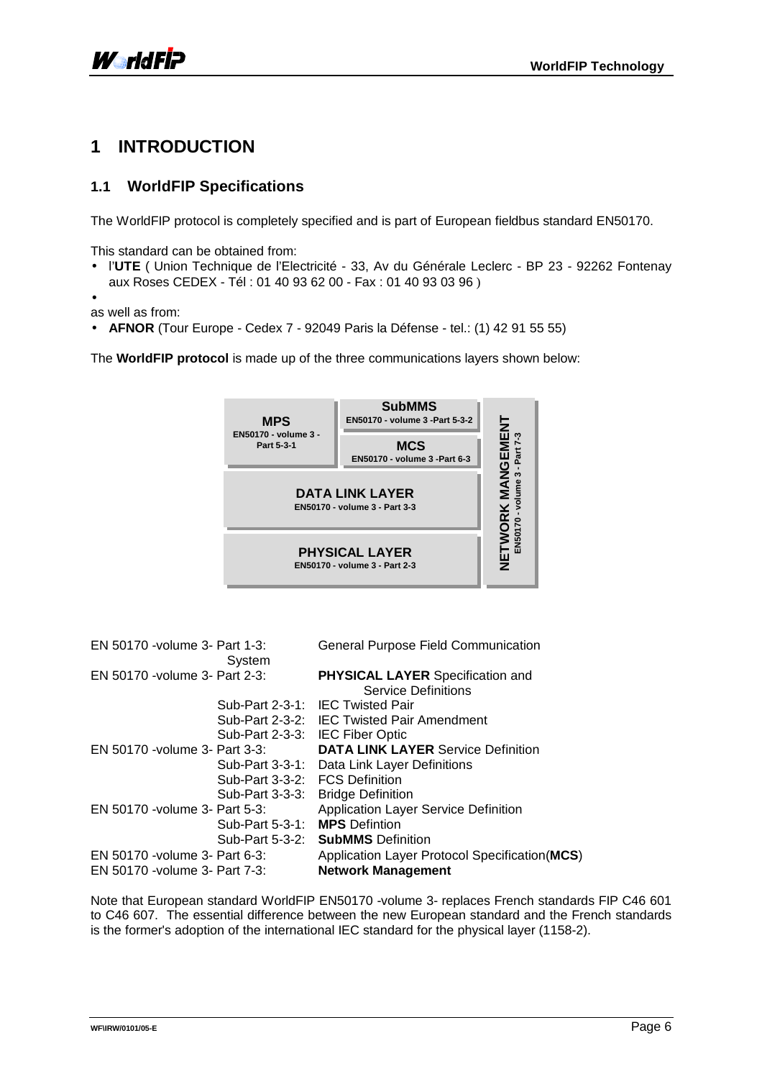# **1 INTRODUCTION**

# **1.1 WorldFIP Specifications**

The WorldFIP protocol is completely specified and is part of European fieldbus standard EN50170.

This standard can be obtained from:

- l'**UTE** ( Union Technique de l'Electricité 33, Av du Générale Leclerc BP 23 92262 Fontenay aux Roses CEDEX - Tél : 01 40 93 62 00 - Fax : 01 40 93 03 96 )
- •
- as well as from:
- **AFNOR** (Tour Europe Cedex 7 92049 Paris la Défense tel.: (1) 42 91 55 55)

The **WorldFIP protocol** is made up of the three communications layers shown below:



| EN 50170 - volume 3- Part 1-3:<br>System | <b>General Purpose Field Communication</b>                            |
|------------------------------------------|-----------------------------------------------------------------------|
| EN 50170 - volume 3- Part 2-3:           | <b>PHYSICAL LAYER</b> Specification and<br><b>Service Definitions</b> |
|                                          | Sub-Part 2-3-1: IEC Twisted Pair                                      |
|                                          | Sub-Part 2-3-2: IEC Twisted Pair Amendment                            |
|                                          | Sub-Part 2-3-3: IEC Fiber Optic                                       |
| EN 50170 - volume 3- Part 3-3:           | <b>DATA LINK LAYER Service Definition</b>                             |
| Sub-Part 3-3-1:                          | Data Link Layer Definitions                                           |
| Sub-Part 3-3-2: FCS Definition           |                                                                       |
| Sub-Part 3-3-3:                          | <b>Bridge Definition</b>                                              |
| EN 50170 - volume 3- Part 5-3:           | <b>Application Layer Service Definition</b>                           |
| Sub-Part 5-3-1:                          | <b>MPS</b> Defintion                                                  |
|                                          | Sub-Part 5-3-2: SubMMS Definition                                     |
| EN 50170 - volume 3- Part 6-3:           | Application Layer Protocol Specification(MCS)                         |
| EN 50170 - volume 3- Part 7-3:           | <b>Network Management</b>                                             |

Note that European standard WorldFIP EN50170 -volume 3- replaces French standards FIP C46 601 to C46 607. The essential difference between the new European standard and the French standards is the former's adoption of the international IEC standard for the physical layer (1158-2).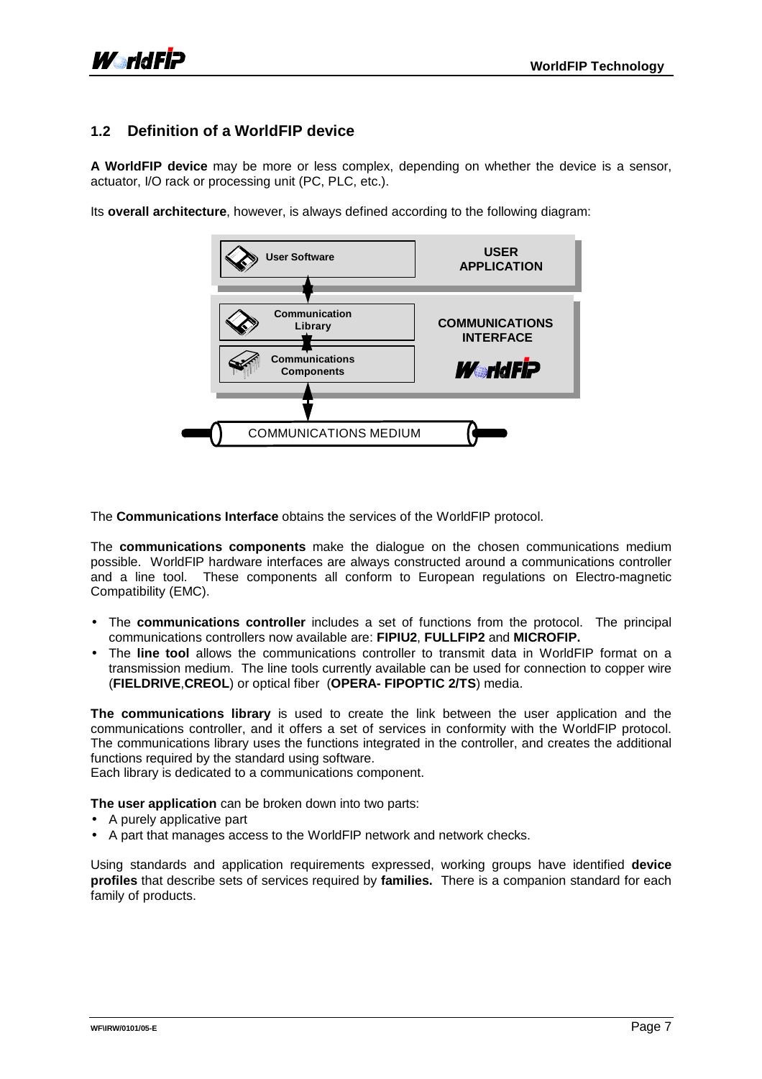

# **1.2 Definition of a WorldFIP device**

**A WorldFIP device** may be more or less complex, depending on whether the device is a sensor, actuator, I/O rack or processing unit (PC, PLC, etc.).

Its **overall architecture**, however, is always defined according to the following diagram:



The **Communications Interface** obtains the services of the WorldFIP protocol.

The **communications components** make the dialogue on the chosen communications medium possible. WorldFIP hardware interfaces are always constructed around a communications controller and a line tool. These components all conform to European regulations on Electro-magnetic Compatibility (EMC).

- The **communications controller** includes a set of functions from the protocol. The principal communications controllers now available are: **FIPIU2**, **FULLFIP2** and **MICROFIP.**
- The **line tool** allows the communications controller to transmit data in WorldFIP format on a transmission medium. The line tools currently available can be used for connection to copper wire (**FIELDRIVE**,**CREOL**) or optical fiber (**OPERA- FIPOPTIC 2/TS**) media.

**The communications library** is used to create the link between the user application and the communications controller, and it offers a set of services in conformity with the WorldFIP protocol. The communications library uses the functions integrated in the controller, and creates the additional functions required by the standard using software.

Each library is dedicated to a communications component.

**The user application** can be broken down into two parts:

- A purely applicative part
- A part that manages access to the WorldFIP network and network checks.

Using standards and application requirements expressed, working groups have identified **device profiles** that describe sets of services required by **families.** There is a companion standard for each family of products.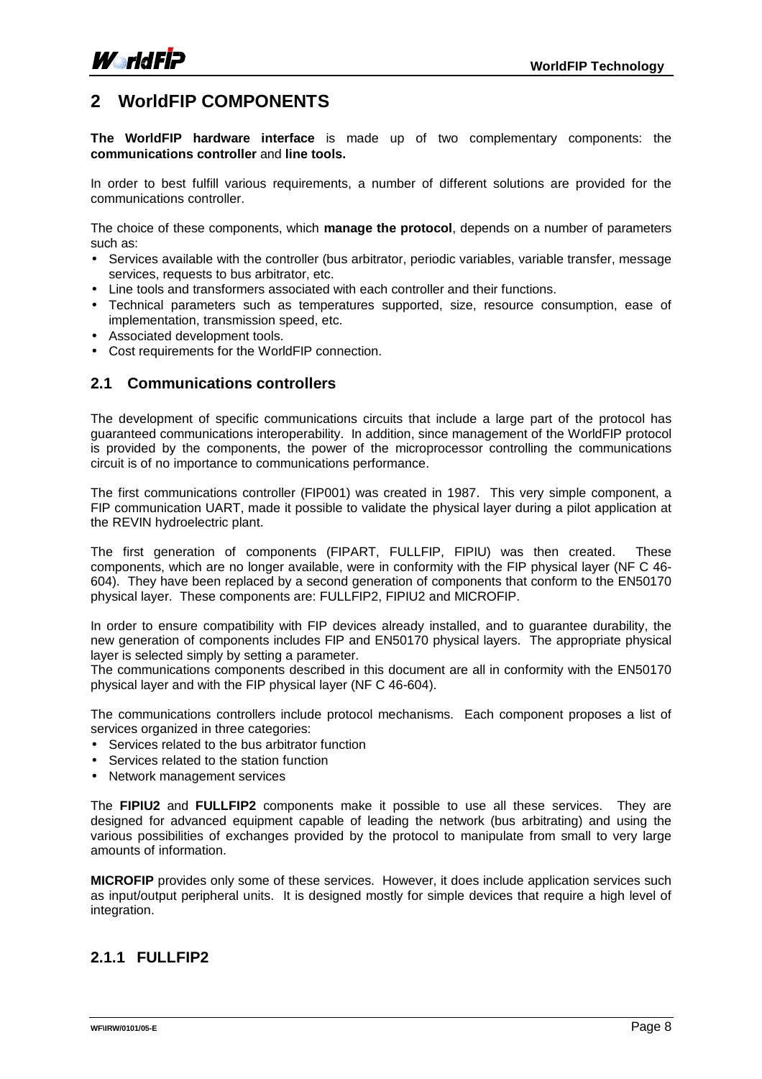# **2 WorldFIP COMPONENTS**

**The WorldFIP hardware interface** is made up of two complementary components: the **communications controller** and **line tools.**

In order to best fulfill various requirements, a number of different solutions are provided for the communications controller.

The choice of these components, which **manage the protocol**, depends on a number of parameters such as:

- Services available with the controller (bus arbitrator, periodic variables, variable transfer, message services, requests to bus arbitrator, etc.
- Line tools and transformers associated with each controller and their functions.
- Technical parameters such as temperatures supported, size, resource consumption, ease of implementation, transmission speed, etc.
- Associated development tools.
- Cost requirements for the WorldFIP connection.

#### **2.1 Communications controllers**

The development of specific communications circuits that include a large part of the protocol has guaranteed communications interoperability. In addition, since management of the WorldFIP protocol is provided by the components, the power of the microprocessor controlling the communications circuit is of no importance to communications performance.

The first communications controller (FIP001) was created in 1987. This very simple component, a FIP communication UART, made it possible to validate the physical layer during a pilot application at the REVIN hydroelectric plant.

The first generation of components (FIPART, FULLFIP, FIPIU) was then created. These components, which are no longer available, were in conformity with the FIP physical layer (NF C 46- 604). They have been replaced by a second generation of components that conform to the EN50170 physical layer. These components are: FULLFIP2, FIPIU2 and MICROFIP.

In order to ensure compatibility with FIP devices already installed, and to guarantee durability, the new generation of components includes FIP and EN50170 physical layers. The appropriate physical layer is selected simply by setting a parameter.

The communications components described in this document are all in conformity with the EN50170 physical layer and with the FIP physical layer (NF C 46-604).

The communications controllers include protocol mechanisms. Each component proposes a list of services organized in three categories:

- Services related to the bus arbitrator function
- Services related to the station function
- Network management services

The **FIPIU2** and **FULLFIP2** components make it possible to use all these services. They are designed for advanced equipment capable of leading the network (bus arbitrating) and using the various possibilities of exchanges provided by the protocol to manipulate from small to very large amounts of information.

**MICROFIP** provides only some of these services. However, it does include application services such as input/output peripheral units. It is designed mostly for simple devices that require a high level of integration.

### **2.1.1 FULLFIP2**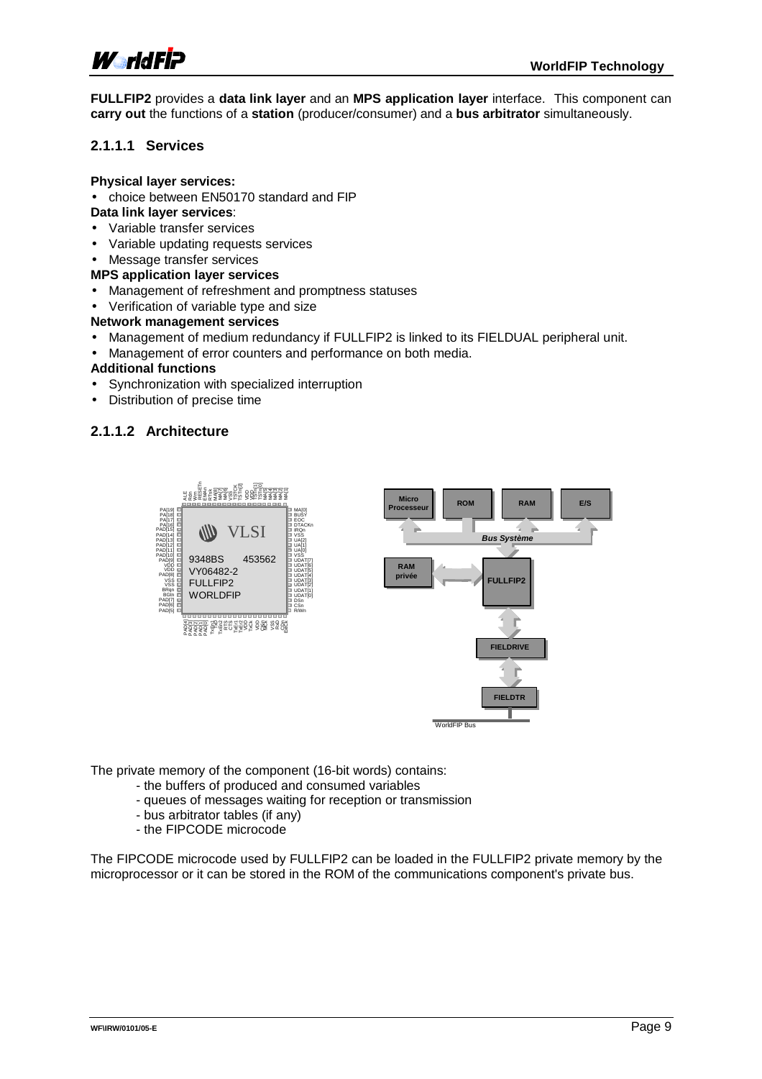

**FULLFIP2** provides a **data link layer** and an **MPS application layer** interface. This component can **carry out** the functions of a **station** (producer/consumer) and a **bus arbitrator** simultaneously.

#### **2.1.1.1 Services**

#### **Physical layer services:**

• choice between EN50170 standard and FIP

#### **Data link layer services**:

- Variable transfer services
- Variable updating requests services
- Message transfer services

#### **MPS application layer services**

- Management of refreshment and promptness statuses
- Verification of variable type and size

#### **Network management services**

- Management of medium redundancy if FULLFIP2 is linked to its FIELDUAL peripheral unit.
- Management of error counters and performance on both media.

#### **Additional functions**

- Synchronization with specialized interruption
- Distribution of precise time

### **2.1.1.2 Architecture**



The private memory of the component (16-bit words) contains:

- the buffers of produced and consumed variables
- queues of messages waiting for reception or transmission
- bus arbitrator tables (if any)
- the FIPCODE microcode

The FIPCODE microcode used by FULLFIP2 can be loaded in the FULLFIP2 private memory by the microprocessor or it can be stored in the ROM of the communications component's private bus.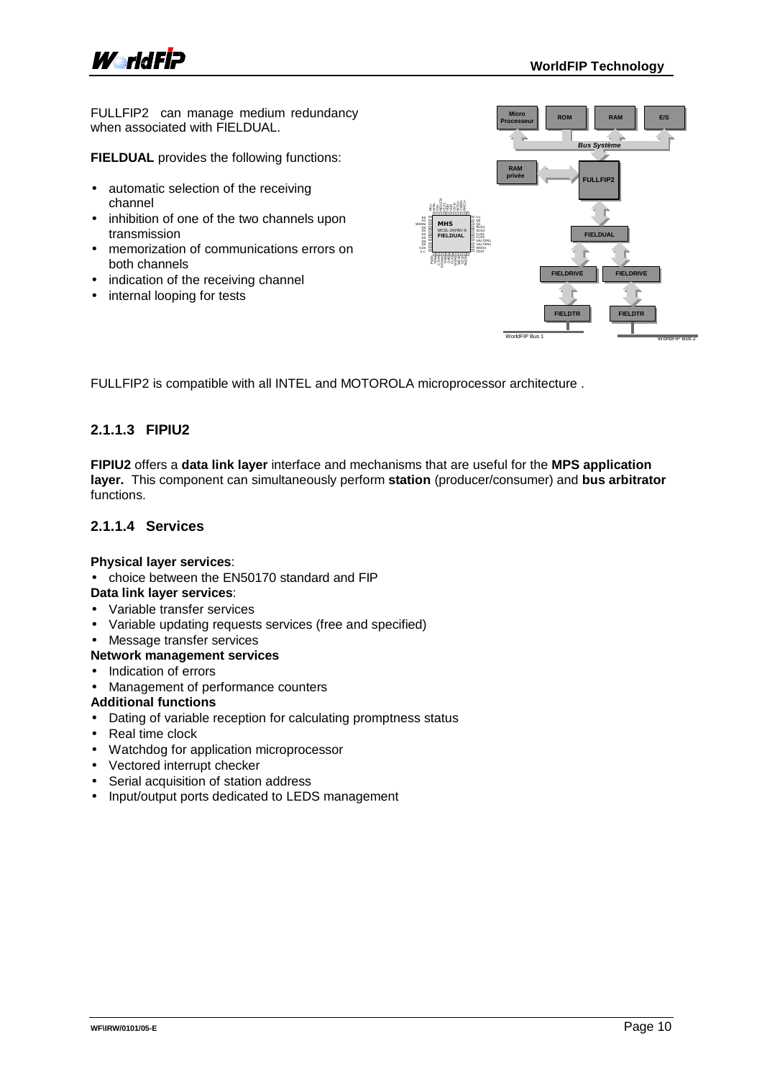

FULLFIP2 can manage medium redundancy when associated with FIELDUAL.

**FIELDUAL** provides the following functions:

- automatic selection of the receiving channel
- inhibition of one of the two channels upon transmission
- memorization of communications errors on both channels
- indication of the receiving channel
- internal looping for tests



FULLFIP2 is compatible with all INTEL and MOTOROLA microprocessor architecture .

## **2.1.1.3 FIPIU2**

**FIPIU2** offers a **data link layer** interface and mechanisms that are useful for the **MPS application layer.** This component can simultaneously perform **station** (producer/consumer) and **bus arbitrator** functions.

### **2.1.1.4 Services**

#### **Physical layer services**:

• choice between the EN50170 standard and FIP

#### **Data link layer services**:

- Variable transfer services
- Variable updating requests services (free and specified)
- Message transfer services

#### **Network management services**

- Indication of errors
- Management of performance counters

#### **Additional functions**

- Dating of variable reception for calculating promptness status
- Real time clock
- Watchdog for application microprocessor
- Vectored interrupt checker
- Serial acquisition of station address
- Input/output ports dedicated to LEDS management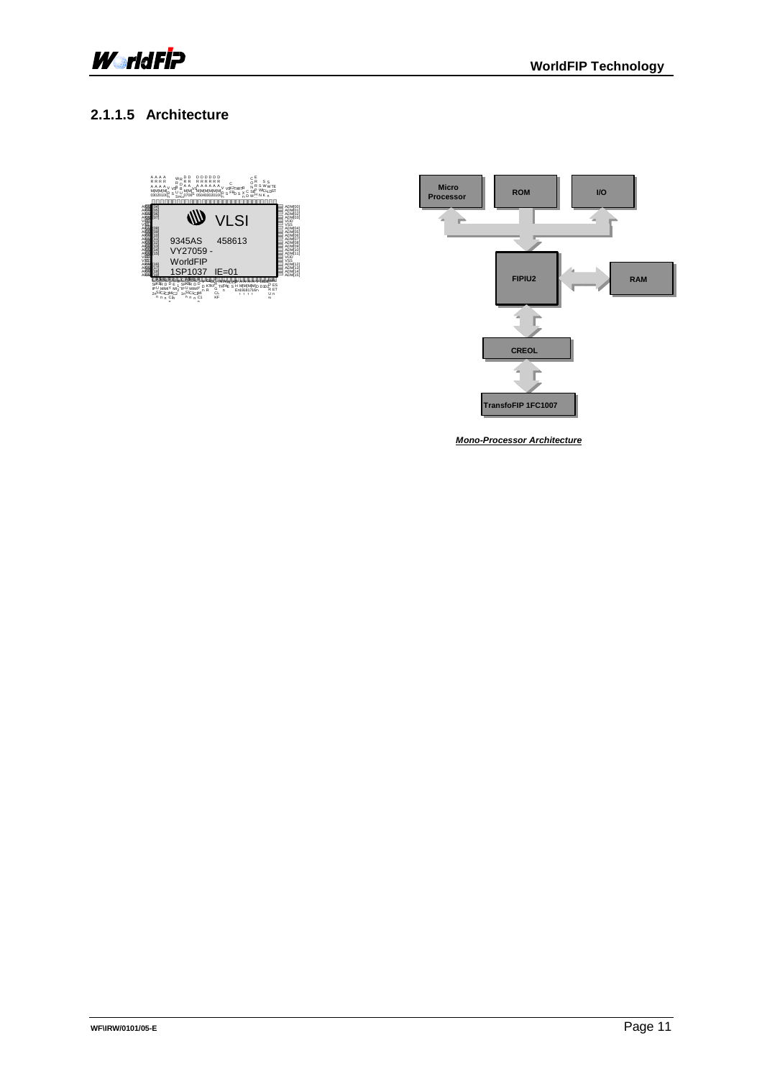

# **2.1.1.5 Architecture**





*Mono-Processor Architecture*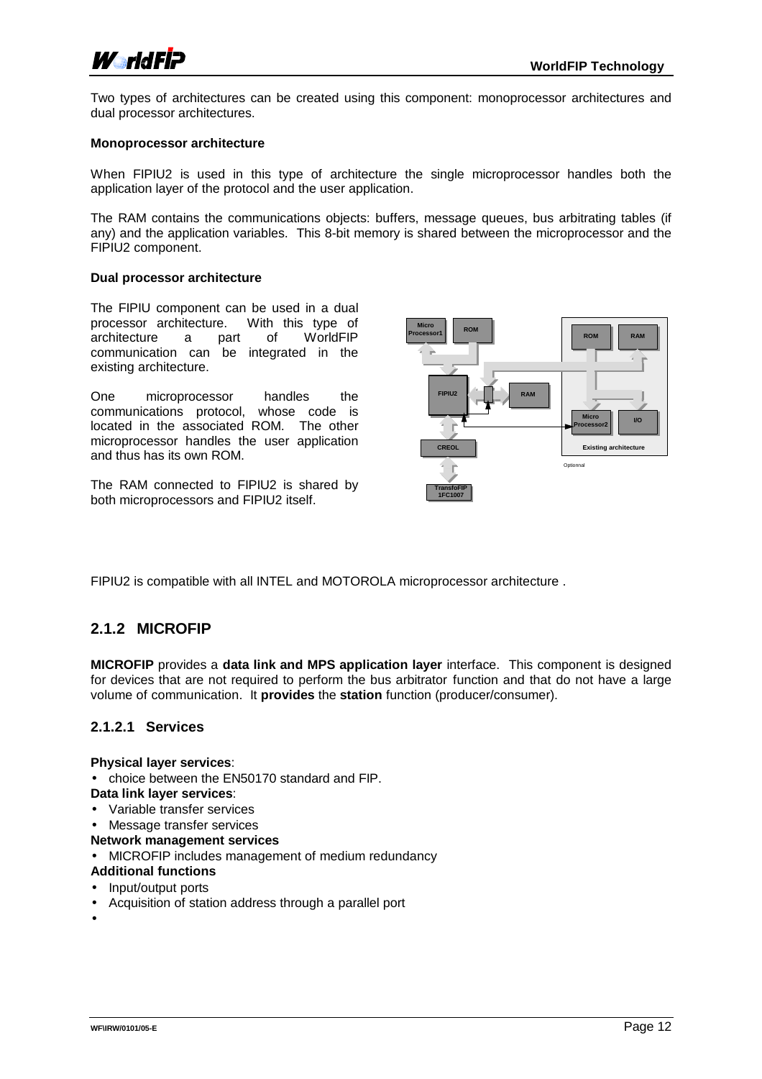

Two types of architectures can be created using this component: monoprocessor architectures and dual processor architectures.

#### **Monoprocessor architecture**

When FIPIU2 is used in this type of architecture the single microprocessor handles both the application layer of the protocol and the user application.

The RAM contains the communications objects: buffers, message queues, bus arbitrating tables (if any) and the application variables. This 8-bit memory is shared between the microprocessor and the FIPIU2 component.

#### **Dual processor architecture**

The FIPIU component can be used in a dual processor architecture. With this type of architecture a part of WorldFIP communication can be integrated in the existing architecture.

One microprocessor handles the communications protocol, whose code is located in the associated ROM. The other microprocessor handles the user application and thus has its own ROM.

The RAM connected to FIPIU2 is shared by both microprocessors and FIPIU2 itself.



FIPIU2 is compatible with all INTEL and MOTOROLA microprocessor architecture .

### **2.1.2 MICROFIP**

**MICROFIP** provides a **data link and MPS application layer** interface. This component is designed for devices that are not required to perform the bus arbitrator function and that do not have a large volume of communication. It **provides** the **station** function (producer/consumer).

#### **2.1.2.1 Services**

**Physical layer services**:

• choice between the EN50170 standard and FIP.

**Data link layer services**:

- Variable transfer services
- Message transfer services

**Network management services**

• MICROFIP includes management of medium redundancy

- **Additional functions**
- Input/output ports
- Acquisition of station address through a parallel port

•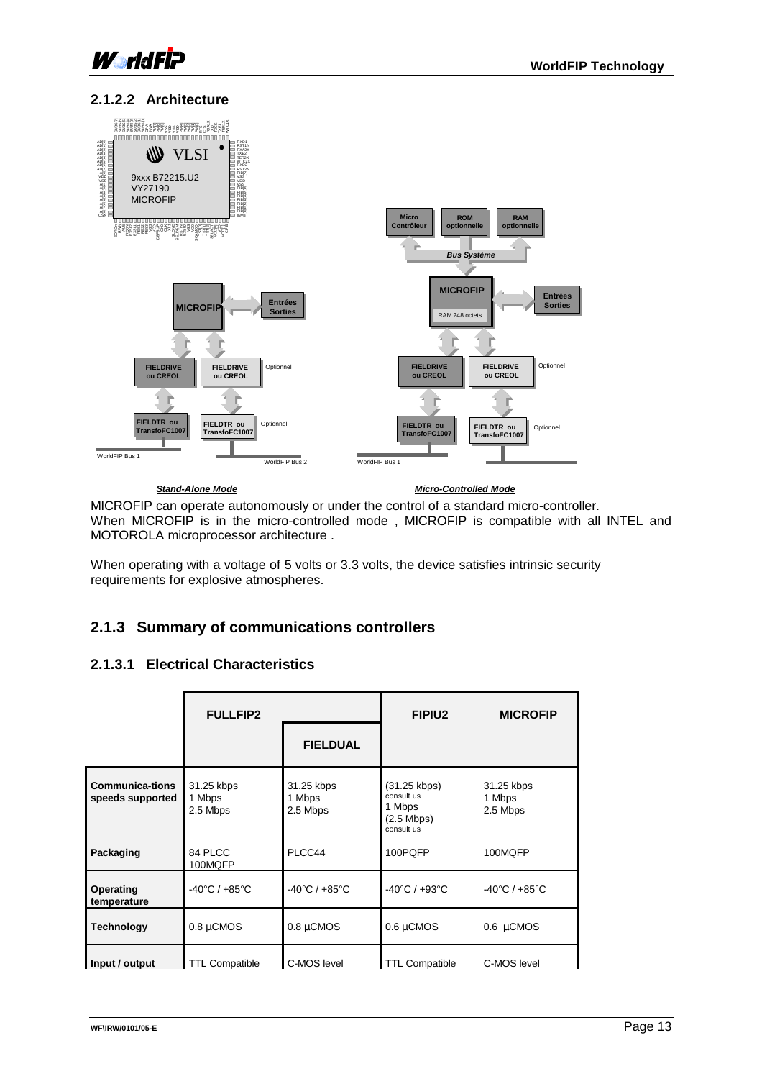

#### **2.1.2.2 Architecture**



*Stand-Alone Mode Micro-Controlled Mode*

MICROFIP can operate autonomously or under the control of a standard micro-controller. When MICROFIP is in the micro-controlled mode, MICROFIP is compatible with all INTEL and MOTOROLA microprocessor architecture .

When operating with a voltage of 5 volts or 3.3 volts, the device satisfies intrinsic security requirements for explosive atmospheres.

# **2.1.3 Summary of communications controllers**

### **2.1.3.1 Electrical Characteristics**

|                                            | <b>FULLFIP2</b>                   |                                   | FIPIU <sub>2</sub>                                                 | <b>MICROFIP</b>                   |
|--------------------------------------------|-----------------------------------|-----------------------------------|--------------------------------------------------------------------|-----------------------------------|
|                                            |                                   | <b>FIELDUAL</b>                   |                                                                    |                                   |
| <b>Communica-tions</b><br>speeds supported | 31.25 kbps<br>1 Mbps<br>2.5 Mbps  | 31.25 kbps<br>1 Mbps<br>2.5 Mbps  | (31.25 kbps)<br>consult us<br>1 Mbps<br>$(2.5$ Mbps)<br>consult us | 31.25 kbps<br>1 Mbps<br>2.5 Mbps  |
| Packaging                                  | 84 PLCC<br>100MQFP                | PLCC44                            | 100PQFP                                                            | 100MQFP                           |
| Operating<br>temperature                   | $-40^{\circ}$ C / $+85^{\circ}$ C | $-40^{\circ}$ C / $+85^{\circ}$ C | $-40^{\circ}$ C / $+93^{\circ}$ C                                  | $-40^{\circ}$ C / $+85^{\circ}$ C |
| <b>Technology</b>                          | $0.8 \mu$ CMOS                    | $0.8 \mu CMOS$                    | $0.6 \mu$ CMOS                                                     | $0.6 \mu CMOS$                    |
| Input / output                             | <b>TTL Compatible</b>             | C-MOS level                       | <b>TTL Compatible</b>                                              | C-MOS level                       |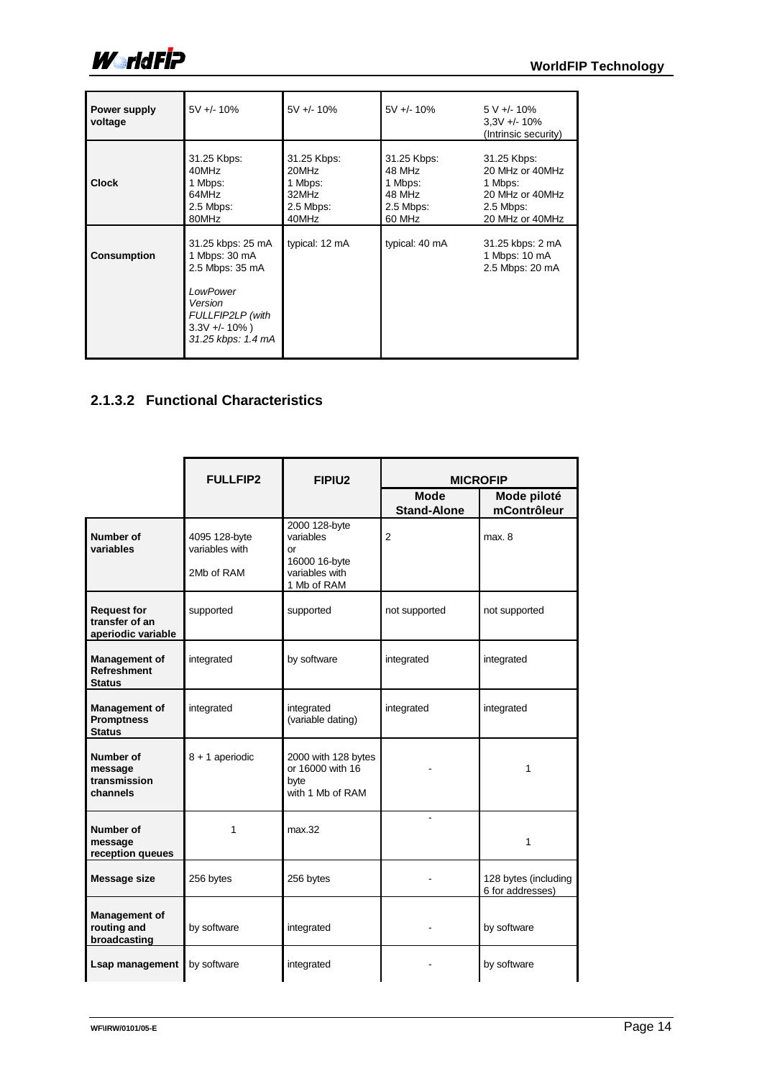



| Power supply<br>voltage | $5V + 10%$                                                                                                                                         | $5V + 10%$                                                     | $5V + 10%$                                                        | $5 V + 10%$<br>$3.3V + 1.10%$<br>(Intrinsic security)                                        |
|-------------------------|----------------------------------------------------------------------------------------------------------------------------------------------------|----------------------------------------------------------------|-------------------------------------------------------------------|----------------------------------------------------------------------------------------------|
| <b>Clock</b>            | 31.25 Kbps:<br>40MHz<br>1 Mbps:<br>64MHz<br>2.5 Mbps:<br>80MHz                                                                                     | 31.25 Kbps:<br>20MHz<br>1 Mbps:<br>32MHz<br>2.5 Mbps:<br>40MHz | 31.25 Kbps:<br>48 MHz<br>1 Mbps:<br>48 MHz<br>2.5 Mbps:<br>60 MHz | 31.25 Kbps:<br>20 MHz or 40MHz<br>1 Mbps:<br>20 MHz or 40MHz<br>2.5 Mbps:<br>20 MHz or 40MHz |
| <b>Consumption</b>      | 31.25 kbps: 25 mA<br>1 Mbps: 30 mA<br>2.5 Mbps: 35 mA<br>LowPower<br>Version<br><b>FULLFIP2LP</b> (with<br>$3.3V + - 10\%$ )<br>31.25 kbps: 1.4 mA | typical: 12 mA                                                 | typical: 40 mA                                                    | 31.25 kbps: 2 mA<br>1 Mbps: 10 mA<br>2.5 Mbps: 20 mA                                         |

# **2.1.3.2 Functional Characteristics**

|                                                             | <b>FULLFIP2</b>                               | FIPIU <sub>2</sub>                                                                 |                            | <b>MICROFIP</b>                          |
|-------------------------------------------------------------|-----------------------------------------------|------------------------------------------------------------------------------------|----------------------------|------------------------------------------|
|                                                             |                                               |                                                                                    | Mode<br><b>Stand-Alone</b> | Mode piloté<br>mContrôleur               |
| Number of<br>variables                                      | 4095 128-byte<br>variables with<br>2Mb of RAM | 2000 128-byte<br>variables<br>or<br>16000 16-byte<br>variables with<br>1 Mb of RAM | $\overline{2}$             | max. 8                                   |
| <b>Request for</b><br>transfer of an<br>aperiodic variable  | supported                                     | supported                                                                          | not supported              | not supported                            |
| <b>Management of</b><br><b>Refreshment</b><br><b>Status</b> | integrated                                    | by software                                                                        | integrated                 | integrated                               |
| Management of<br><b>Promptness</b><br><b>Status</b>         | integrated                                    | integrated<br>(variable dating)                                                    | integrated                 | integrated                               |
| Number of<br>message<br>transmission<br>channels            | $8 + 1$ aperiodic                             | 2000 with 128 bytes<br>or 16000 with 16<br>byte<br>with 1 Mb of RAM                |                            | 1                                        |
| Number of<br>message<br>reception queues                    | 1                                             | max.32                                                                             |                            | 1                                        |
| <b>Message size</b>                                         | 256 bytes                                     | 256 bytes                                                                          |                            | 128 bytes (including<br>6 for addresses) |
| <b>Management of</b><br>routing and<br>broadcasting         | by software                                   | integrated                                                                         |                            | by software                              |
| <b>Lsap management</b>                                      | by software                                   | integrated                                                                         |                            | by software                              |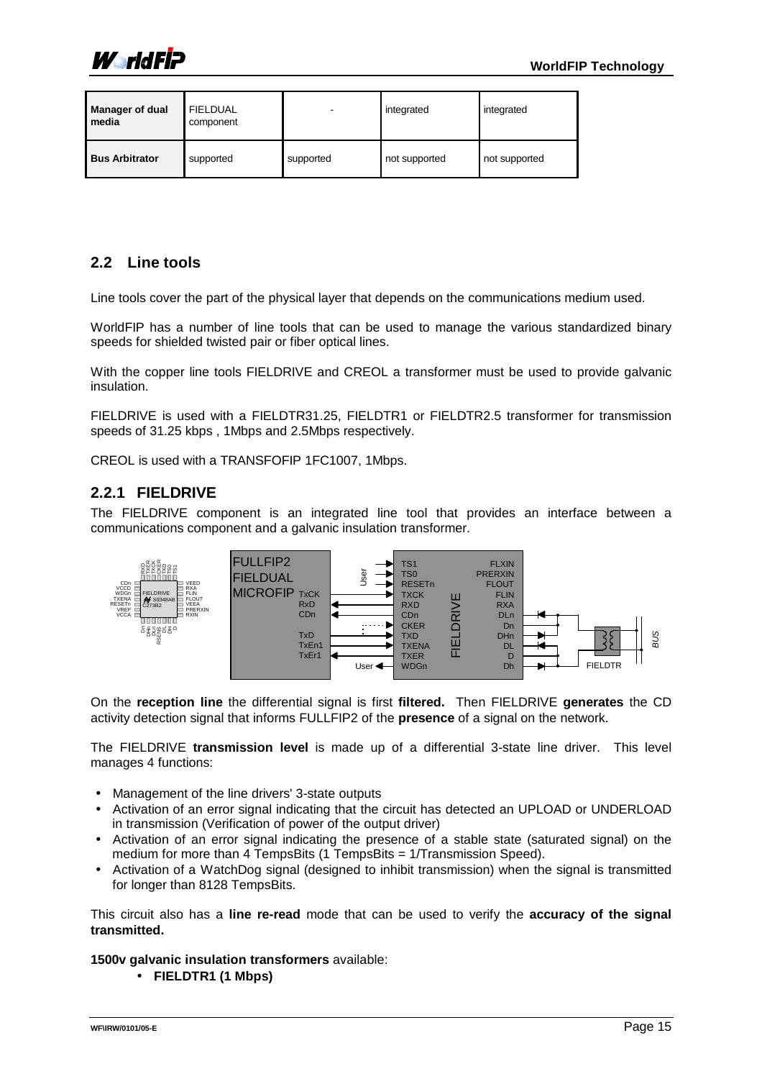| <b>Manager of dual</b><br>media | <b>FIELDUAL</b><br>component |           | integrated    | integrated    |
|---------------------------------|------------------------------|-----------|---------------|---------------|
| <b>Bus Arbitrator</b>           | supported                    | supported | not supported | not supported |

# **2.2 Line tools**

Line tools cover the part of the physical layer that depends on the communications medium used.

WorldFIP has a number of line tools that can be used to manage the various standardized binary speeds for shielded twisted pair or fiber optical lines.

With the copper line tools FIELDRIVE and CREOL a transformer must be used to provide galvanic insulation.

FIELDRIVE is used with a FIELDTR31.25, FIELDTR1 or FIELDTR2.5 transformer for transmission speeds of 31.25 kbps , 1Mbps and 2.5Mbps respectively.

CREOL is used with a TRANSFOFIP 1FC1007, 1Mbps.

# **2.2.1 FIELDRIVE**

The FIELDRIVE component is an integrated line tool that provides an interface between a communications component and a galvanic insulation transformer.



On the **reception line** the differential signal is first **filtered.** Then FIELDRIVE **generates** the CD activity detection signal that informs FULLFIP2 of the **presence** of a signal on the network.

The FIELDRIVE **transmission level** is made up of a differential 3-state line driver. This level manages 4 functions:

- Management of the line drivers' 3-state outputs
- Activation of an error signal indicating that the circuit has detected an UPLOAD or UNDERLOAD in transmission (Verification of power of the output driver)
- Activation of an error signal indicating the presence of a stable state (saturated signal) on the medium for more than 4 TempsBits (1 TempsBits = 1/Transmission Speed).
- Activation of a WatchDog signal (designed to inhibit transmission) when the signal is transmitted for longer than 8128 TempsBits.

This circuit also has a **line re-read** mode that can be used to verify the **accuracy of the signal transmitted.**

**1500v galvanic insulation transformers** available:

• **FIELDTR1 (1 Mbps)**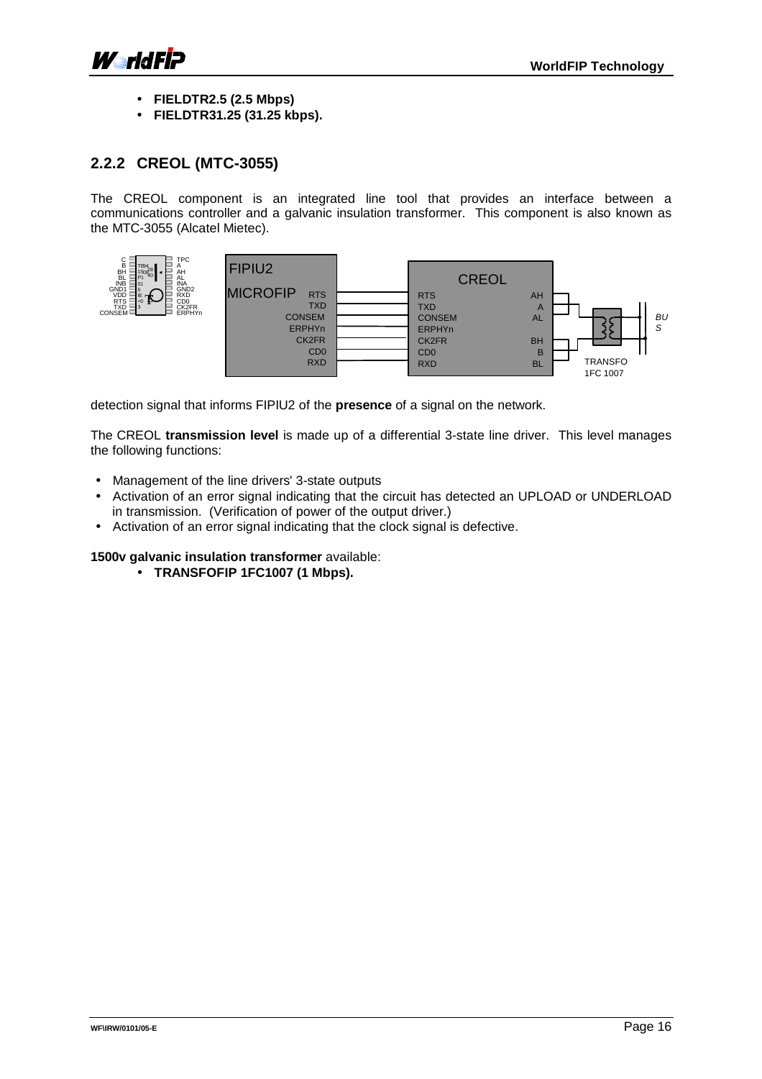- **FIELDTR2.5 (2.5 Mbps)**
- **FIELDTR31.25 (31.25 kbps).**

## **2.2.2 CREOL (MTC-3055)**

The CREOL component is an integrated line tool that provides an interface between a communications controller and a galvanic insulation transformer. This component is also known as the MTC-3055 (Alcatel Mietec).



detection signal that informs FIPIU2 of the **presence** of a signal on the network.

The CREOL **transmission level** is made up of a differential 3-state line driver. This level manages the following functions:

- Management of the line drivers' 3-state outputs
- Activation of an error signal indicating that the circuit has detected an UPLOAD or UNDERLOAD in transmission. (Verification of power of the output driver.)
- Activation of an error signal indicating that the clock signal is defective.

**1500v galvanic insulation transformer** available:

• **TRANSFOFIP 1FC1007 (1 Mbps).**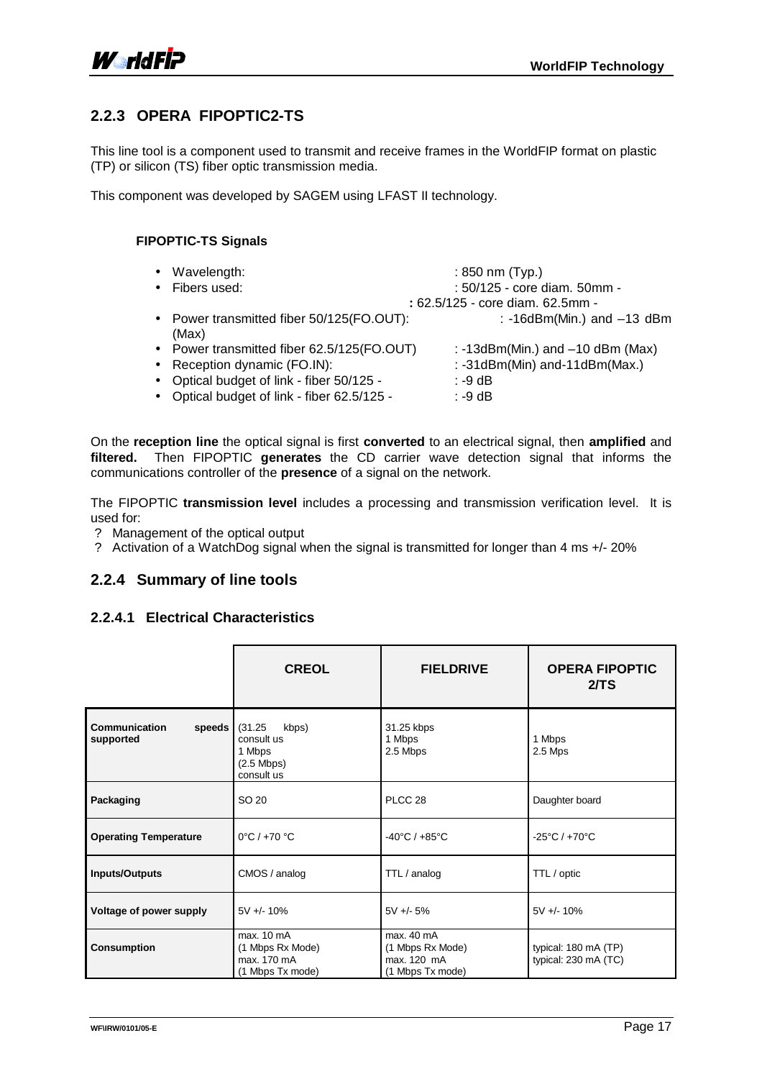# **2.2.3 OPERA FIPOPTIC2-TS**

This line tool is a component used to transmit and receive frames in the WorldFIP format on plastic (TP) or silicon (TS) fiber optic transmission media.

This component was developed by SAGEM using LFAST II technology.

#### **FIPOPTIC-TS Signals**

| • Wavelength:                                      | : 850 nm (Typ.)                    |
|----------------------------------------------------|------------------------------------|
| • Fibers used:                                     | : 50/125 - core diam. 50mm -       |
|                                                    | : 62.5/125 - core diam. 62.5mm -   |
| • Power transmitted fiber 50/125(FO.OUT):<br>(Max) | : -16dBm(Min.) and $-13$ dBm       |
| • Power transmitted fiber 62.5/125(FO.OUT)         | : -13dBm(Min.) and $-10$ dBm (Max) |
| • Reception dynamic (FO.IN):                       | : -31dBm(Min) and-11dBm(Max.)      |
| • Optical budget of link - fiber 50/125 -          | : -9 dB                            |
| • Optical budget of link - fiber 62.5/125 -        | ∴-9 dB                             |

On the **reception line** the optical signal is first **converted** to an electrical signal, then **amplified** and **filtered.** Then FIPOPTIC **generates** the CD carrier wave detection signal that informs the communications controller of the **presence** of a signal on the network.

The FIPOPTIC **transmission level** includes a processing and transmission verification level. It is used for:

- ? Management of the optical output
- ? Activation of a WatchDog signal when the signal is transmitted for longer than 4 ms +/- 20%

### **2.2.4 Summary of line tools**

### **2.2.4.1 Electrical Characteristics**

|                                      | <b>CREOL</b>                                                           | <b>FIELDRIVE</b>                                                  | <b>OPERA FIPOPTIC</b><br>2/TS                |
|--------------------------------------|------------------------------------------------------------------------|-------------------------------------------------------------------|----------------------------------------------|
| Communication<br>speeds<br>supported | (31.25)<br>kbps)<br>consult us<br>1 Mbps<br>$(2.5$ Mbps)<br>consult us | 31.25 kbps<br>1 Mbps<br>2.5 Mbps                                  | 1 Mbps<br>$2.5$ Mps                          |
| Packaging                            | SO 20                                                                  | PLCC <sub>28</sub>                                                | Daughter board                               |
| <b>Operating Temperature</b>         | $0^{\circ}$ C / +70 $^{\circ}$ C                                       | $-40^{\circ}$ C / $+85^{\circ}$ C                                 | $-25^{\circ}C/+70^{\circ}C$                  |
| <b>Inputs/Outputs</b>                | CMOS / analog                                                          | TTL / analog                                                      | TTL / optic                                  |
| Voltage of power supply              | $5V + 10%$                                                             | $5V + 5%$                                                         | $5V + 10%$                                   |
| <b>Consumption</b>                   | max. 10 mA<br>(1 Mbps Rx Mode)<br>max. 170 mA<br>(1 Mbps Tx mode)      | max. 40 mA<br>(1 Mbps Rx Mode)<br>max. 120 mA<br>(1 Mbps Tx mode) | typical: 180 mA (TP)<br>typical: 230 mA (TC) |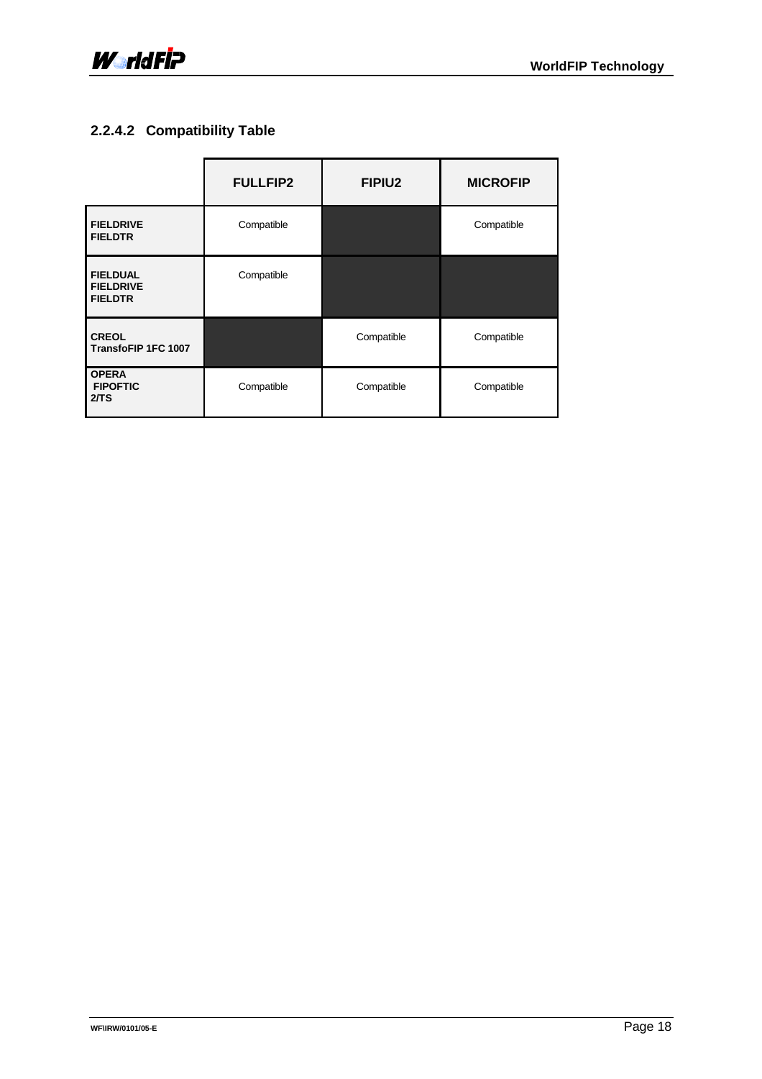# **2.2.4.2 Compatibility Table**

|                                                       | <b>FULLFIP2</b> | FIPIU2     | <b>MICROFIP</b> |
|-------------------------------------------------------|-----------------|------------|-----------------|
| <b>FIELDRIVE</b><br><b>FIELDTR</b>                    | Compatible      |            | Compatible      |
| <b>FIELDUAL</b><br><b>FIELDRIVE</b><br><b>FIELDTR</b> | Compatible      |            |                 |
| <b>CREOL</b><br>TransfoFIP 1FC 1007                   |                 | Compatible | Compatible      |
| <b>OPERA</b><br><b>FIPOFTIC</b><br>2/TS               | Compatible      | Compatible | Compatible      |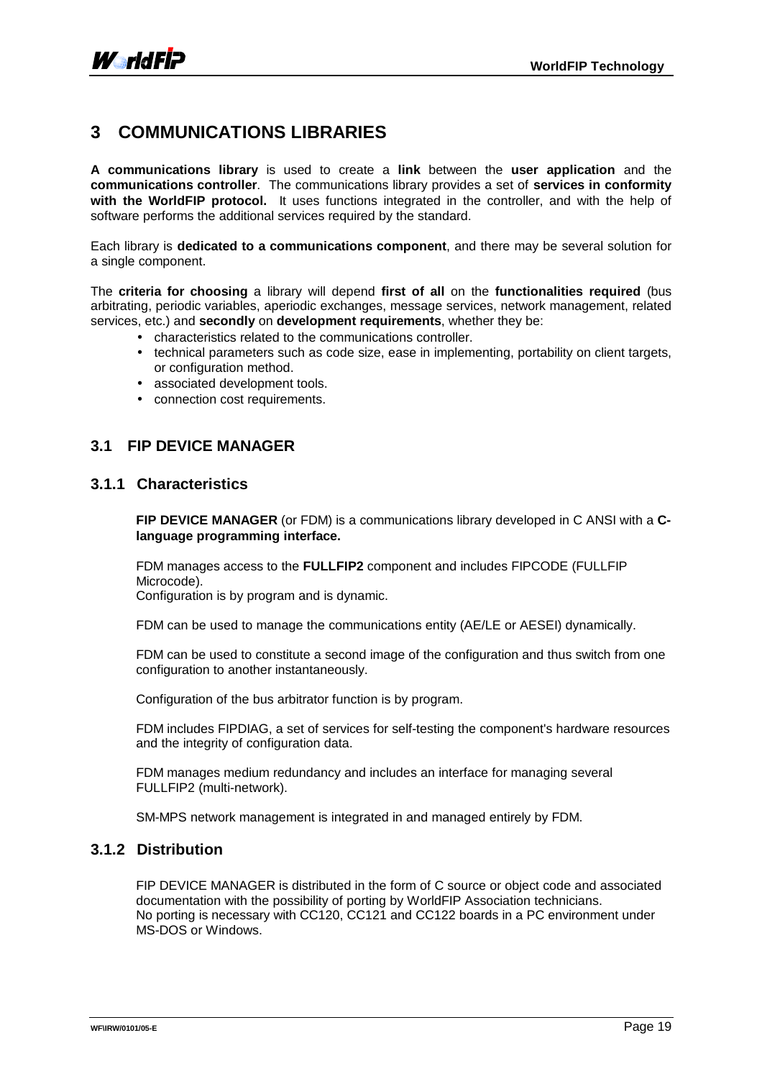# **3 COMMUNICATIONS LIBRARIES**

**A communications library** is used to create a **link** between the **user application** and the **communications controller**. The communications library provides a set of **services in conformity with the WorldFIP protocol.** It uses functions integrated in the controller, and with the help of software performs the additional services required by the standard.

Each library is **dedicated to a communications component**, and there may be several solution for a single component.

The **criteria for choosing** a library will depend **first of all** on the **functionalities required** (bus arbitrating, periodic variables, aperiodic exchanges, message services, network management, related services, etc.) and **secondly** on **development requirements**, whether they be:

- characteristics related to the communications controller.
- technical parameters such as code size, ease in implementing, portability on client targets, or configuration method.
- associated development tools.
- connection cost requirements.

# **3.1 FIP DEVICE MANAGER**

#### **3.1.1 Characteristics**

**FIP DEVICE MANAGER** (or FDM) is a communications library developed in C ANSI with a **Clanguage programming interface.**

FDM manages access to the **FULLFIP2** component and includes FIPCODE (FULLFIP Microcode).

Configuration is by program and is dynamic.

FDM can be used to manage the communications entity (AE/LE or AESEI) dynamically.

FDM can be used to constitute a second image of the configuration and thus switch from one configuration to another instantaneously.

Configuration of the bus arbitrator function is by program.

FDM includes FIPDIAG, a set of services for self-testing the component's hardware resources and the integrity of configuration data.

FDM manages medium redundancy and includes an interface for managing several FULLFIP2 (multi-network).

SM-MPS network management is integrated in and managed entirely by FDM.

## **3.1.2 Distribution**

FIP DEVICE MANAGER is distributed in the form of C source or object code and associated documentation with the possibility of porting by WorldFIP Association technicians. No porting is necessary with CC120, CC121 and CC122 boards in a PC environment under MS-DOS or Windows.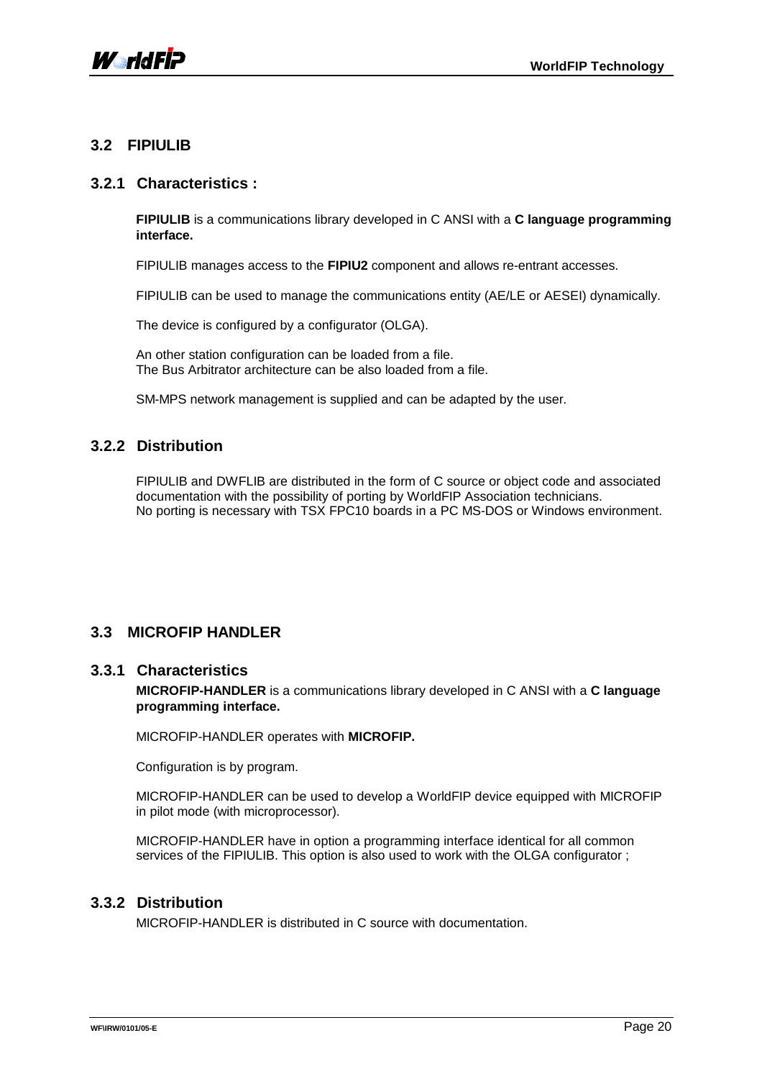## **3.2 FIPIULIB**

#### **3.2.1 Characteristics :**

**FIPIULIB** is a communications library developed in C ANSI with a **C language programming interface.**

FIPIULIB manages access to the **FIPIU2** component and allows re-entrant accesses.

FIPIULIB can be used to manage the communications entity (AE/LE or AESEI) dynamically.

The device is configured by a configurator (OLGA).

An other station configuration can be loaded from a file. The Bus Arbitrator architecture can be also loaded from a file.

SM-MPS network management is supplied and can be adapted by the user.

# **3.2.2 Distribution**

FIPIULIB and DWFLIB are distributed in the form of C source or object code and associated documentation with the possibility of porting by WorldFIP Association technicians. No porting is necessary with TSX FPC10 boards in a PC MS-DOS or Windows environment.

## **3.3 MICROFIP HANDLER**

#### **3.3.1 Characteristics**

**MICROFIP-HANDLER** is a communications library developed in C ANSI with a **C language programming interface.**

MICROFIP-HANDLER operates with **MICROFIP.**

Configuration is by program.

MICROFIP-HANDLER can be used to develop a WorldFIP device equipped with MICROFIP in pilot mode (with microprocessor).

MICROFIP-HANDLER have in option a programming interface identical for all common services of the FIPIULIB. This option is also used to work with the OLGA configurator ;

## **3.3.2 Distribution**

MICROFIP-HANDLER is distributed in C source with documentation.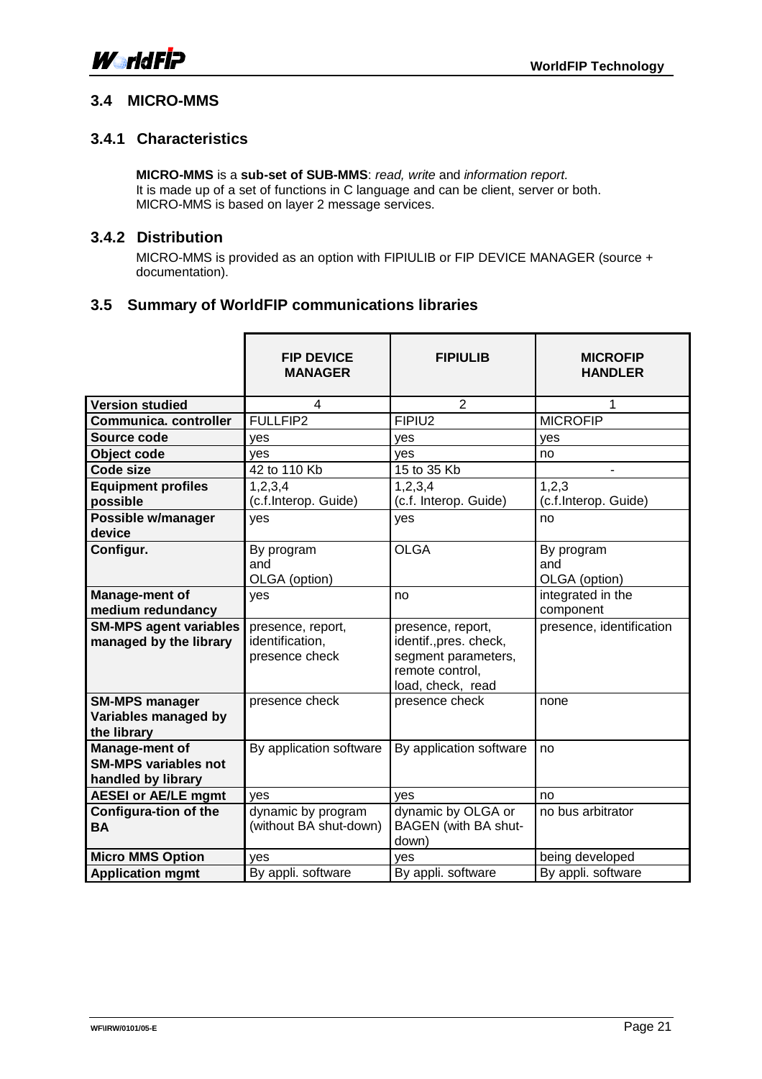

# **3.4 MICRO-MMS**

## **3.4.1 Characteristics**

**MICRO-MMS** is a **sub-set of SUB-MMS**: *read, write* and *information report.* It is made up of a set of functions in C language and can be client, server or both. MICRO-MMS is based on layer 2 message services.

# **3.4.2 Distribution**

MICRO-MMS is provided as an option with FIPIULIB or FIP DEVICE MANAGER (source + documentation).

# **3.5 Summary of WorldFIP communications libraries**

|                                                                            | <b>FIP DEVICE</b><br><b>MANAGER</b>                    | <b>FIPIULIB</b>                                                                                            | <b>MICROFIP</b><br><b>HANDLER</b>  |
|----------------------------------------------------------------------------|--------------------------------------------------------|------------------------------------------------------------------------------------------------------------|------------------------------------|
| <b>Version studied</b>                                                     | $\overline{4}$                                         | $\overline{2}$                                                                                             | 1                                  |
| <b>Communica.</b> controller                                               | <b>FULLFIP2</b>                                        | FIPIU2                                                                                                     | <b>MICROFIP</b>                    |
| Source code                                                                | yes                                                    | yes                                                                                                        | yes                                |
| Object code                                                                | yes                                                    | yes                                                                                                        | no                                 |
| <b>Code size</b>                                                           | 42 to 110 Kb                                           | 15 to 35 Kb                                                                                                |                                    |
| <b>Equipment profiles</b><br>possible                                      | 1, 2, 3, 4<br>(c.f.Interop. Guide)                     | 1, 2, 3, 4<br>(c.f. Interop. Guide)                                                                        | 1, 2, 3<br>(c.f.Interop. Guide)    |
| Possible w/manager<br>device                                               | yes                                                    | yes                                                                                                        | no                                 |
| Configur.                                                                  | By program<br>and<br>OLGA (option)                     | <b>OLGA</b>                                                                                                | By program<br>and<br>OLGA (option) |
| Manage-ment of<br>medium redundancy                                        | yes                                                    | no                                                                                                         | integrated in the<br>component     |
| <b>SM-MPS agent variables</b><br>managed by the library                    | presence, report,<br>identification,<br>presence check | presence, report,<br>identif., pres. check,<br>segment parameters,<br>remote control,<br>load, check, read | presence, identification           |
| <b>SM-MPS manager</b><br>Variables managed by<br>the library               | presence check                                         | presence check                                                                                             | none                               |
| <b>Manage-ment of</b><br><b>SM-MPS variables not</b><br>handled by library | By application software                                | By application software                                                                                    | no                                 |
| <b>AESEI or AE/LE mgmt</b>                                                 | ves                                                    | ves                                                                                                        | no                                 |
| Configura-tion of the<br><b>BA</b>                                         | dynamic by program<br>(without BA shut-down)           | dynamic by OLGA or<br>BAGEN (with BA shut-<br>down)                                                        | no bus arbitrator                  |
| <b>Micro MMS Option</b>                                                    | yes                                                    | yes                                                                                                        | being developed                    |
| <b>Application mgmt</b>                                                    | By appli. software                                     | By appli. software                                                                                         | By appli. software                 |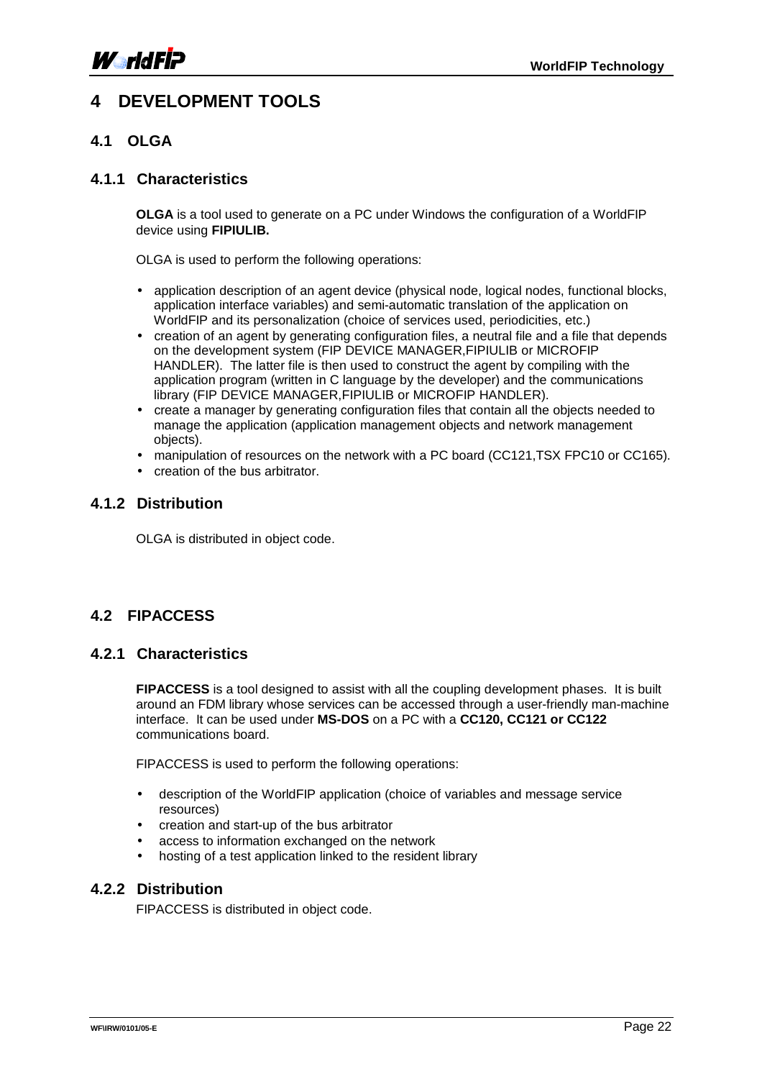# **4 DEVELOPMENT TOOLS**

# **4.1 OLGA**

## **4.1.1 Characteristics**

**OLGA** is a tool used to generate on a PC under Windows the configuration of a WorldFIP device using **FIPIULIB.**

OLGA is used to perform the following operations:

- application description of an agent device (physical node, logical nodes, functional blocks, application interface variables) and semi-automatic translation of the application on WorldFIP and its personalization (choice of services used, periodicities, etc.)
- creation of an agent by generating configuration files, a neutral file and a file that depends on the development system (FIP DEVICE MANAGER,FIPIULIB or MICROFIP HANDLER). The latter file is then used to construct the agent by compiling with the application program (written in C language by the developer) and the communications library (FIP DEVICE MANAGER,FIPIULIB or MICROFIP HANDLER).
- create a manager by generating configuration files that contain all the objects needed to manage the application (application management objects and network management objects).
- manipulation of resources on the network with a PC board (CC121, TSX FPC10 or CC165).
- creation of the bus arbitrator.

## **4.1.2 Distribution**

OLGA is distributed in object code.

# **4.2 FIPACCESS**

### **4.2.1 Characteristics**

**FIPACCESS** is a tool designed to assist with all the coupling development phases. It is built around an FDM library whose services can be accessed through a user-friendly man-machine interface. It can be used under **MS-DOS** on a PC with a **CC120, CC121 or CC122** communications board.

FIPACCESS is used to perform the following operations:

- description of the WorldFIP application (choice of variables and message service resources)
- creation and start-up of the bus arbitrator
- access to information exchanged on the network
- hosting of a test application linked to the resident library

### **4.2.2 Distribution**

FIPACCESS is distributed in object code.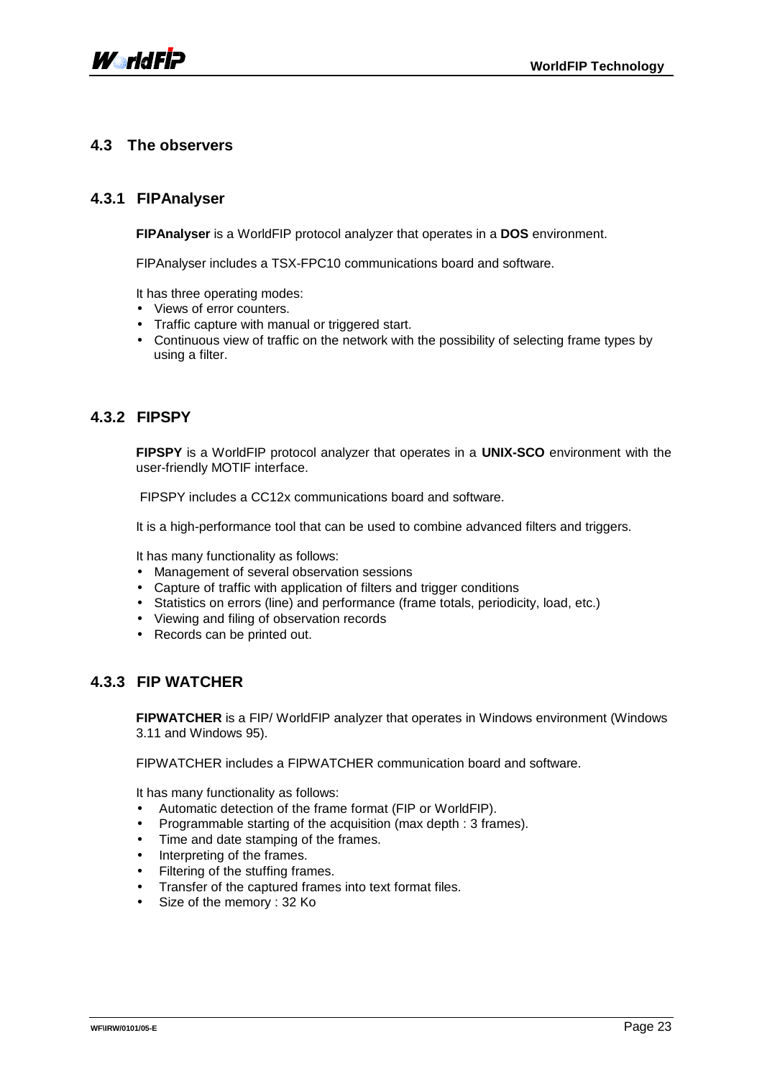# **4.3 The observers**

#### **4.3.1 FIPAnalyser**

**FIPAnalyser** is a WorldFIP protocol analyzer that operates in a **DOS** environment.

FIPAnalyser includes a TSX-FPC10 communications board and software.

It has three operating modes:

- Views of error counters.
- Traffic capture with manual or triggered start.
- Continuous view of traffic on the network with the possibility of selecting frame types by using a filter.

# **4.3.2 FIPSPY**

**FIPSPY** is a WorldFIP protocol analyzer that operates in a **UNIX-SCO** environment with the user-friendly MOTIF interface.

FIPSPY includes a CC12x communications board and software.

It is a high-performance tool that can be used to combine advanced filters and triggers.

It has many functionality as follows:

- Management of several observation sessions
- Capture of traffic with application of filters and trigger conditions
- Statistics on errors (line) and performance (frame totals, periodicity, load, etc.)
- Viewing and filing of observation records
- Records can be printed out.

## **4.3.3 FIP WATCHER**

**FIPWATCHER** is a FIP/ WorldFIP analyzer that operates in Windows environment (Windows 3.11 and Windows 95).

FIPWATCHER includes a FIPWATCHER communication board and software.

It has many functionality as follows:

- Automatic detection of the frame format (FIP or WorldFIP).
- Programmable starting of the acquisition (max depth : 3 frames).
- Time and date stamping of the frames.
- Interpreting of the frames.
- Filtering of the stuffing frames.
- Transfer of the captured frames into text format files.
- Size of the memory : 32 Ko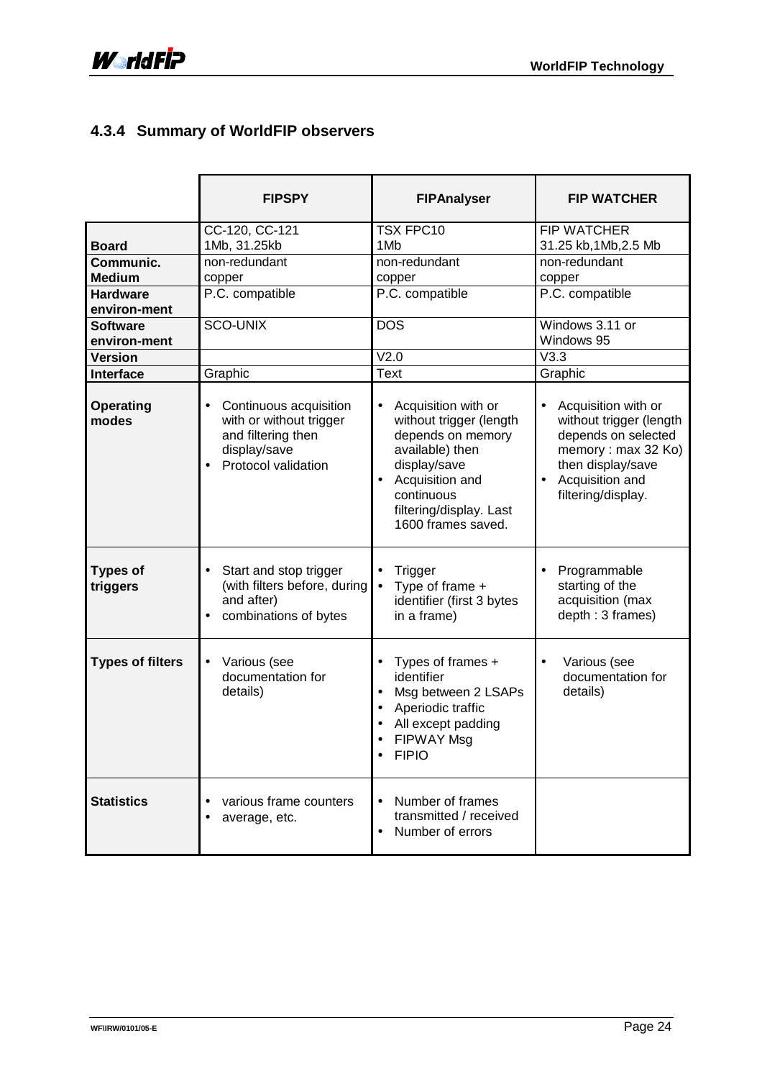# **4.3.4 Summary of WorldFIP observers**

|                             | <b>FIPSPY</b>                                                                                                  | <b>FIPAnalyser</b>                                                                                                                                                                                                 | <b>FIP WATCHER</b>                                                                                                                                                                  |
|-----------------------------|----------------------------------------------------------------------------------------------------------------|--------------------------------------------------------------------------------------------------------------------------------------------------------------------------------------------------------------------|-------------------------------------------------------------------------------------------------------------------------------------------------------------------------------------|
|                             | CC-120, CC-121                                                                                                 | <b>TSX FPC10</b>                                                                                                                                                                                                   | <b>FIP WATCHER</b>                                                                                                                                                                  |
| <b>Board</b>                | 1Mb, 31.25kb                                                                                                   | 1M <sub>b</sub>                                                                                                                                                                                                    | 31.25 kb, 1Mb, 2.5 Mb                                                                                                                                                               |
| Communic.                   | non-redundant                                                                                                  | non-redundant                                                                                                                                                                                                      | non-redundant                                                                                                                                                                       |
| <b>Medium</b>               | copper                                                                                                         | copper                                                                                                                                                                                                             | copper                                                                                                                                                                              |
| <b>Hardware</b>             | P.C. compatible                                                                                                | P.C. compatible                                                                                                                                                                                                    | P.C. compatible                                                                                                                                                                     |
| environ-ment                |                                                                                                                |                                                                                                                                                                                                                    |                                                                                                                                                                                     |
| <b>Software</b>             | <b>SCO-UNIX</b>                                                                                                | <b>DOS</b>                                                                                                                                                                                                         | Windows 3.11 or                                                                                                                                                                     |
| environ-ment                |                                                                                                                |                                                                                                                                                                                                                    | Windows 95                                                                                                                                                                          |
| Version                     |                                                                                                                | V2.0                                                                                                                                                                                                               | V3.3                                                                                                                                                                                |
| Interface                   | Graphic                                                                                                        | <b>Text</b>                                                                                                                                                                                                        | Graphic                                                                                                                                                                             |
| <b>Operating</b><br>modes   | Continuous acquisition<br>with or without trigger<br>and filtering then<br>display/save<br>Protocol validation | Acquisition with or<br>$\bullet$<br>without trigger (length<br>depends on memory<br>available) then<br>display/save<br>Acquisition and<br>$\bullet$<br>continuous<br>filtering/display. Last<br>1600 frames saved. | Acquisition with or<br>$\bullet$<br>without trigger (length<br>depends on selected<br>memory: max 32 Ko)<br>then display/save<br>Acquisition and<br>$\bullet$<br>filtering/display. |
| <b>Types of</b><br>triggers | Start and stop trigger<br>(with filters before, during<br>and after)<br>combinations of bytes                  | Trigger<br>$\bullet$<br>Type of frame +<br>$\bullet$<br>identifier (first 3 bytes<br>in a frame)                                                                                                                   | Programmable<br>$\bullet$<br>starting of the<br>acquisition (max<br>depth : 3 frames)                                                                                               |
| <b>Types of filters</b>     | Various (see<br>$\bullet$<br>documentation for<br>details)                                                     | Types of frames +<br>$\bullet$<br>identifier<br>Msg between 2 LSAPs<br>$\bullet$<br>Aperiodic traffic<br>$\bullet$<br>All except padding<br>$\bullet$<br><b>FIPWAY Msg</b><br>$\bullet$<br><b>FIPIO</b>            | Various (see<br>$\bullet$<br>documentation for<br>details)                                                                                                                          |
| <b>Statistics</b>           | various frame counters<br>average, etc.                                                                        | Number of frames<br>$\bullet$<br>transmitted / received<br>Number of errors<br>$\bullet$                                                                                                                           |                                                                                                                                                                                     |